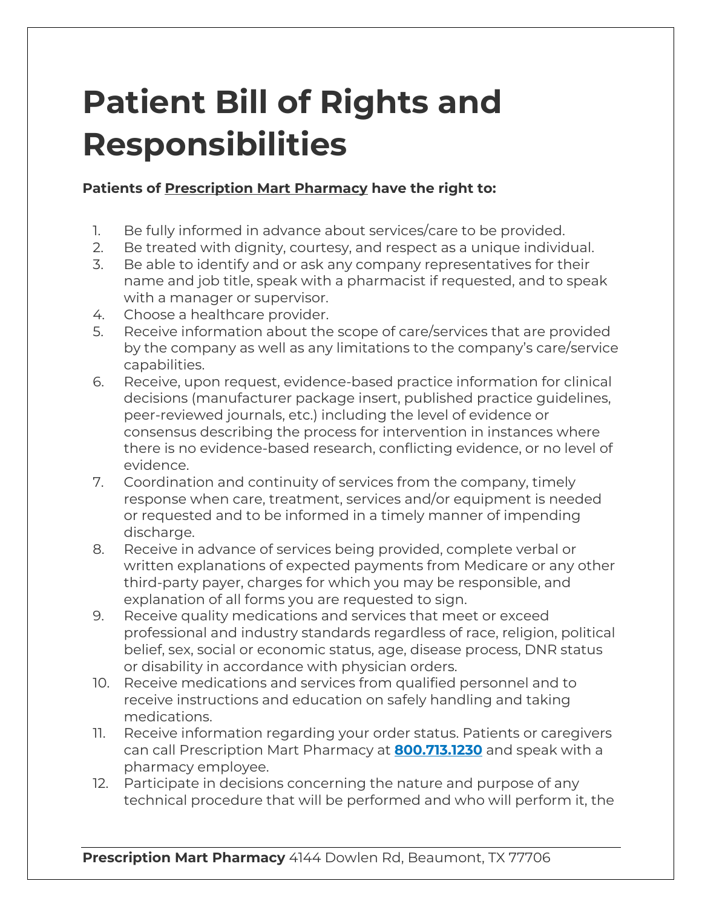## **Patient Bill of Rights and Responsibilities**

## **Patients of Prescription Mart Pharmacy have the right to:**

- 1. Be fully informed in advance about services/care to be provided.
- 2. Be treated with dignity, courtesy, and respect as a unique individual.
- 3. Be able to identify and or ask any company representatives for their name and job title, speak with a pharmacist if requested, and to speak with a manager or supervisor.
- 4. Choose a healthcare provider.
- 5. Receive information about the scope of care/services that are provided by the company as well as any limitations to the company's care/service capabilities.
- 6. Receive, upon request, evidence-based practice information for clinical decisions (manufacturer package insert, published practice guidelines, peer-reviewed journals, etc.) including the level of evidence or consensus describing the process for intervention in instances where there is no evidence-based research, conflicting evidence, or no level of evidence.
- 7. Coordination and continuity of services from the company, timely response when care, treatment, services and/or equipment is needed or requested and to be informed in a timely manner of impending discharge.
- 8. Receive in advance of services being provided, complete verbal or written explanations of expected payments from Medicare or any other third-party payer, charges for which you may be responsible, and explanation of all forms you are requested to sign.
- 9. Receive quality medications and services that meet or exceed professional and industry standards regardless of race, religion, political belief, sex, social or economic status, age, disease process, DNR status or disability in accordance with physician orders.
- 10. Receive medications and services from qualified personnel and to receive instructions and education on safely handling and taking medications.
- 11. Receive information regarding your order status. Patients or caregivers can call Prescription Mart Pharmacy at **800.713.1230** and speak with a pharmacy employee.
- 12. Participate in decisions concerning the nature and purpose of any technical procedure that will be performed and who will perform it, the

**Prescription Mart Pharmacy** 4144 Dowlen Rd, Beaumont, TX 77706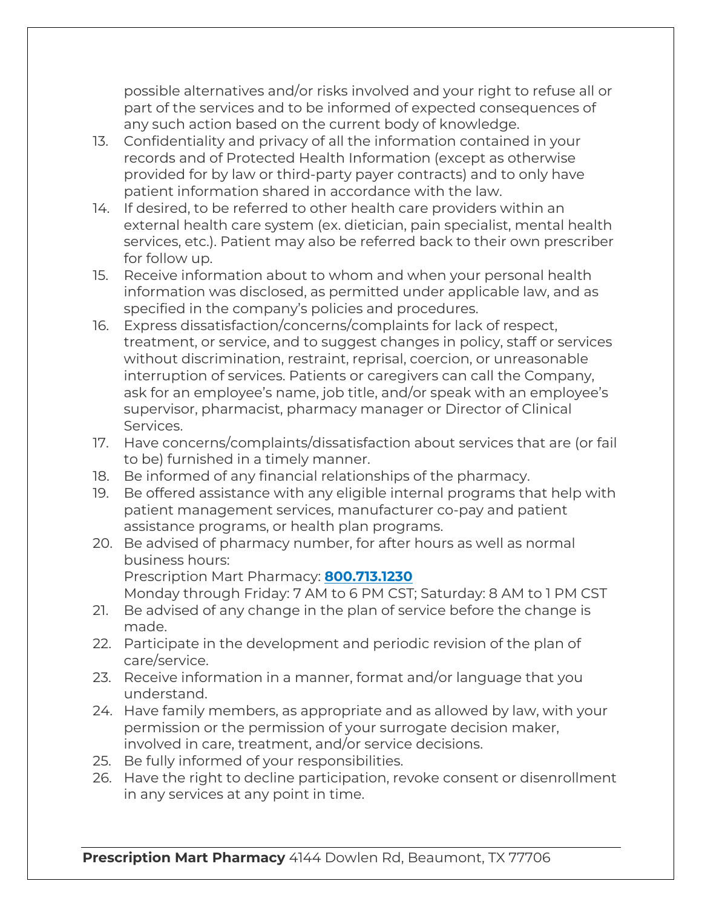possible alternatives and/or risks involved and your right to refuse all or part of the services and to be informed of expected consequences of any such action based on the current body of knowledge.

- 13. Confidentiality and privacy of all the information contained in your records and of Protected Health Information (except as otherwise provided for by law or third-party payer contracts) and to only have patient information shared in accordance with the law.
- 14. If desired, to be referred to other health care providers within an external health care system (ex. dietician, pain specialist, mental health services, etc.). Patient may also be referred back to their own prescriber for follow up.
- 15. Receive information about to whom and when your personal health information was disclosed, as permitted under applicable law, and as specified in the company's policies and procedures.
- 16. Express dissatisfaction/concerns/complaints for lack of respect, treatment, or service, and to suggest changes in policy, staff or services without discrimination, restraint, reprisal, coercion, or unreasonable interruption of services. Patients or caregivers can call the Company, ask for an employee's name, job title, and/or speak with an employee's supervisor, pharmacist, pharmacy manager or Director of Clinical Services.
- 17. Have concerns/complaints/dissatisfaction about services that are (or fail to be) furnished in a timely manner.
- 18. Be informed of any financial relationships of the pharmacy.
- 19. Be offered assistance with any eligible internal programs that help with patient management services, manufacturer co-pay and patient assistance programs, or health plan programs.
- 20. Be advised of pharmacy number, for after hours as well as normal business hours: Prescription Mart Pharmacy: **800.713.1230** Monday through Friday: 7 AM to 6 PM CST; Saturday: 8 AM to 1 PM CST
- 21. Be advised of any change in the plan of service before the change is made.
- 22. Participate in the development and periodic revision of the plan of care/service.
- 23. Receive information in a manner, format and/or language that you understand.
- 24. Have family members, as appropriate and as allowed by law, with your permission or the permission of your surrogate decision maker, involved in care, treatment, and/or service decisions.
- 25. Be fully informed of your responsibilities.
- 26. Have the right to decline participation, revoke consent or disenrollment in any services at any point in time.

**Prescription Mart Pharmacy** 4144 Dowlen Rd, Beaumont, TX 77706